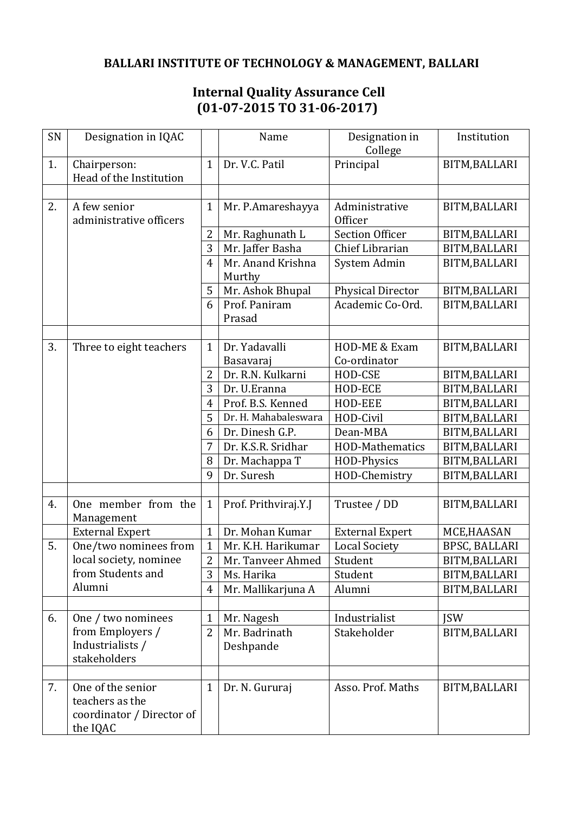## **BALLARI INSTITUTE OF TECHNOLOGY & MANAGEMENT, BALLARI**

## **Internal Quality Assurance Cell (01-07-2015 TO 31-06-2017)**

| SN | Designation in IQAC                                                           |                | Name                        | Designation in<br>College     | Institution          |
|----|-------------------------------------------------------------------------------|----------------|-----------------------------|-------------------------------|----------------------|
| 1. | Chairperson:<br>Head of the Institution                                       | $\mathbf{1}$   | Dr. V.C. Patil              | Principal                     | BITM, BALLARI        |
|    |                                                                               |                |                             |                               |                      |
| 2. | A few senior<br>administrative officers                                       | $\mathbf{1}$   | Mr. P.Amareshayya           | Administrative<br>Officer     | BITM, BALLARI        |
|    |                                                                               | 2              | Mr. Raghunath L             | <b>Section Officer</b>        | BITM, BALLARI        |
|    |                                                                               | 3              | Mr. Jaffer Basha            | Chief Librarian               | BITM, BALLARI        |
|    |                                                                               | $\overline{4}$ | Mr. Anand Krishna<br>Murthy | System Admin                  | BITM, BALLARI        |
|    |                                                                               | 5              | Mr. Ashok Bhupal            | <b>Physical Director</b>      | BITM, BALLARI        |
|    |                                                                               | 6              | Prof. Paniram<br>Prasad     | Academic Co-Ord.              | BITM, BALLARI        |
|    |                                                                               |                |                             |                               |                      |
| 3. | Three to eight teachers                                                       | $\mathbf{1}$   | Dr. Yadavalli<br>Basavaraj  | HOD-ME & Exam<br>Co-ordinator | BITM, BALLARI        |
|    |                                                                               | 2              | Dr. R.N. Kulkarni           | HOD-CSE                       | BITM, BALLARI        |
|    |                                                                               | 3              | Dr. U.Eranna                | HOD-ECE                       | BITM, BALLARI        |
|    |                                                                               | $\overline{4}$ | Prof. B.S. Kenned           | HOD-EEE                       | BITM, BALLARI        |
|    |                                                                               | 5              | Dr. H. Mahabaleswara        | HOD-Civil                     | BITM, BALLARI        |
|    |                                                                               | 6              | Dr. Dinesh G.P.             | Dean-MBA                      | BITM, BALLARI        |
|    |                                                                               | 7              | Dr. K.S.R. Sridhar          | HOD-Mathematics               | BITM, BALLARI        |
|    |                                                                               | 8              | Dr. Machappa T              | HOD-Physics                   | BITM, BALLARI        |
|    |                                                                               | 9              | Dr. Suresh                  | HOD-Chemistry                 | BITM, BALLARI        |
|    |                                                                               |                |                             |                               |                      |
| 4. | One member from the<br>Management                                             | $\mathbf{1}$   | Prof. Prithviraj.Y.J        | Trustee / DD                  | BITM, BALLARI        |
|    | <b>External Expert</b>                                                        | $\mathbf{1}$   | Dr. Mohan Kumar             | <b>External Expert</b>        | MCE, HAASAN          |
| 5. | One/two nominees from                                                         | $\mathbf{1}$   | Mr. K.H. Harikumar          | <b>Local Society</b>          | <b>BPSC, BALLARI</b> |
|    | local society, nominee                                                        | $\overline{c}$ | Mr. Tanveer Ahmed           | Student                       | BITM, BALLARI        |
|    | from Students and                                                             | 3              | Ms. Harika                  | Student                       | BITM, BALLARI        |
|    | Alumni                                                                        | $\overline{4}$ | Mr. Mallikarjuna A          | Alumni                        | BITM, BALLARI        |
|    |                                                                               |                |                             |                               |                      |
| 6. | One / two nominees                                                            | 1              | Mr. Nagesh                  | Industrialist                 | <b>ISW</b>           |
|    | from Employers /<br>Industrialists /<br>stakeholders                          | $\overline{2}$ | Mr. Badrinath<br>Deshpande  | Stakeholder                   | BITM, BALLARI        |
|    |                                                                               |                |                             |                               |                      |
| 7. | One of the senior<br>teachers as the<br>coordinator / Director of<br>the IQAC | $\mathbf{1}$   | Dr. N. Gururaj              | Asso. Prof. Maths             | BITM, BALLARI        |